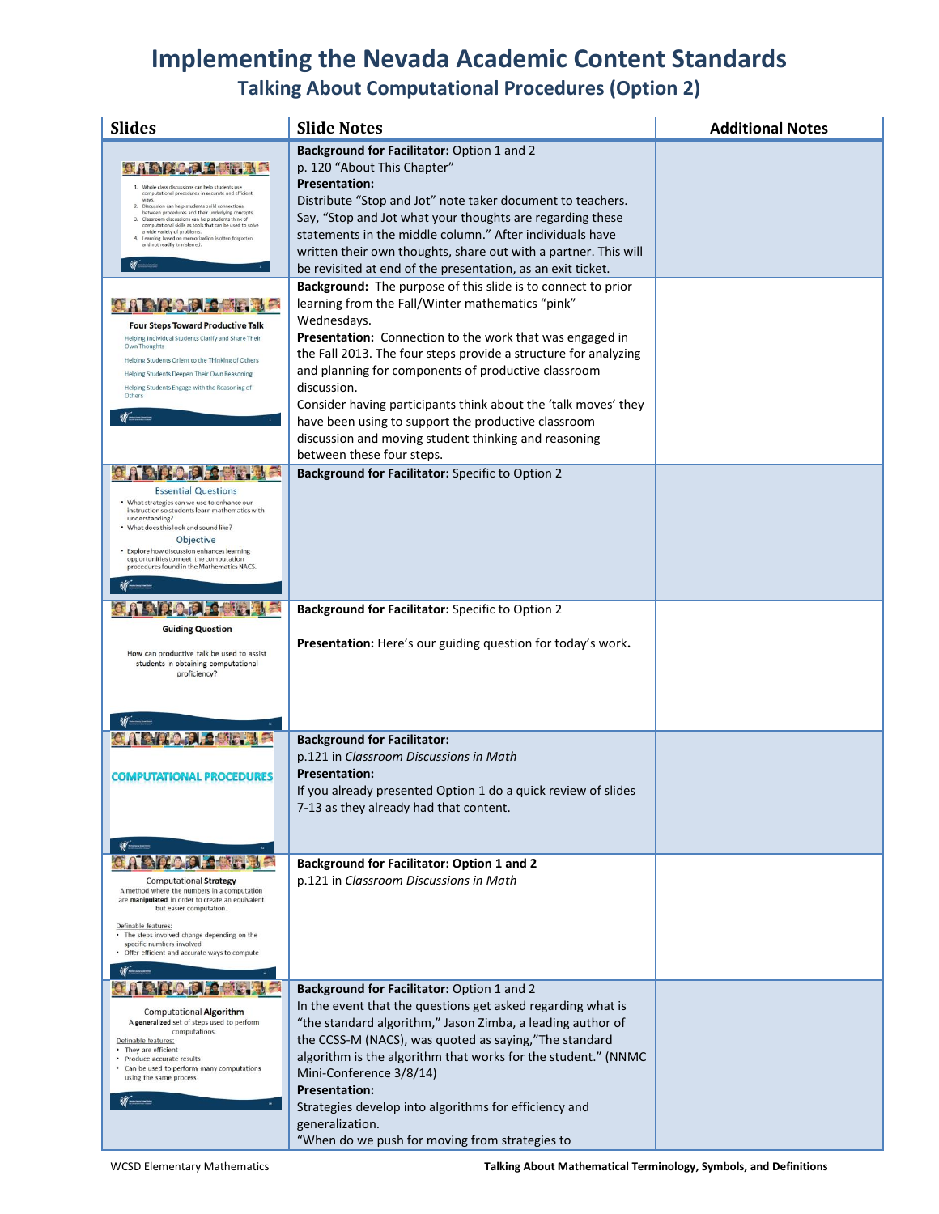# **Implementing the Nevada Academic Content Standards**

**Talking About Computational Procedures (Option 2)**

| <b>Slides</b>                                                                                                                                                       | <b>Slide Notes</b>                                                 | <b>Additional Notes</b> |
|---------------------------------------------------------------------------------------------------------------------------------------------------------------------|--------------------------------------------------------------------|-------------------------|
|                                                                                                                                                                     | Background for Facilitator: Option 1 and 2                         |                         |
|                                                                                                                                                                     | p. 120 "About This Chapter"                                        |                         |
| 1. Whole class discussions can help students use<br>computational procedures in accurate and efficient                                                              | <b>Presentation:</b>                                               |                         |
| ways<br>2. Discussion can help students build connections                                                                                                           | Distribute "Stop and Jot" note taker document to teachers.         |                         |
| between procedures and their underlying concepts.<br>3. Classroom discussions can help students think of<br>computational skills as tools that can be used to solve | Say, "Stop and Jot what your thoughts are regarding these          |                         |
| a wide variety of problems.<br>4. Learning based on memorization is often forgotten<br>and not readily transferred.                                                 | statements in the middle column." After individuals have           |                         |
|                                                                                                                                                                     | written their own thoughts, share out with a partner. This will    |                         |
|                                                                                                                                                                     | be revisited at end of the presentation, as an exit ticket.        |                         |
|                                                                                                                                                                     | Background: The purpose of this slide is to connect to prior       |                         |
|                                                                                                                                                                     | learning from the Fall/Winter mathematics "pink"                   |                         |
| <b>Four Steps Toward Productive Talk</b>                                                                                                                            | Wednesdays.                                                        |                         |
| Helping Individual Students Clarify and Share Their<br>Own Thoughts                                                                                                 | Presentation: Connection to the work that was engaged in           |                         |
| Helping Students Orient to the Thinking of Others                                                                                                                   | the Fall 2013. The four steps provide a structure for analyzing    |                         |
| Helping Students Deepen Their Own Reasoning<br>Helping Students Engage with the Reasoning of                                                                        | and planning for components of productive classroom<br>discussion. |                         |
| Others                                                                                                                                                              | Consider having participants think about the 'talk moves' they     |                         |
|                                                                                                                                                                     | have been using to support the productive classroom                |                         |
|                                                                                                                                                                     | discussion and moving student thinking and reasoning               |                         |
|                                                                                                                                                                     | between these four steps.                                          |                         |
|                                                                                                                                                                     | Background for Facilitator: Specific to Option 2                   |                         |
| <b>Essential Questions</b>                                                                                                                                          |                                                                    |                         |
| • What strategies can we use to enhance our<br>instruction so students learn mathematics with                                                                       |                                                                    |                         |
| understanding?<br>. What does this look and sound like?                                                                                                             |                                                                    |                         |
| <b>Objective</b>                                                                                                                                                    |                                                                    |                         |
| • Explore how discussion enhances learning<br>opportunities to meet the computation                                                                                 |                                                                    |                         |
| procedures found in the Mathematics NACS.                                                                                                                           |                                                                    |                         |
|                                                                                                                                                                     |                                                                    |                         |
| <b>AIRPORT</b>                                                                                                                                                      | Background for Facilitator: Specific to Option 2                   |                         |
| <b>Guiding Question</b>                                                                                                                                             |                                                                    |                         |
|                                                                                                                                                                     | Presentation: Here's our guiding question for today's work.        |                         |
| How can productive talk be used to assist<br>students in obtaining computational                                                                                    |                                                                    |                         |
| proficiency?                                                                                                                                                        |                                                                    |                         |
|                                                                                                                                                                     |                                                                    |                         |
|                                                                                                                                                                     |                                                                    |                         |
|                                                                                                                                                                     | <b>Background for Facilitator:</b>                                 |                         |
|                                                                                                                                                                     | p.121 in Classroom Discussions in Math                             |                         |
| <b>COMPUTATIONAL PROCEDURES</b>                                                                                                                                     | <b>Presentation:</b>                                               |                         |
|                                                                                                                                                                     | If you already presented Option 1 do a quick review of slides      |                         |
|                                                                                                                                                                     | 7-13 as they already had that content.                             |                         |
|                                                                                                                                                                     |                                                                    |                         |
|                                                                                                                                                                     |                                                                    |                         |
|                                                                                                                                                                     | <b>Background for Facilitator: Option 1 and 2</b>                  |                         |
| <b>Computational Strategy</b>                                                                                                                                       | p.121 in Classroom Discussions in Math                             |                         |
| A method where the numbers in a computation<br>are manipulated in order to create an equivalent                                                                     |                                                                    |                         |
| but easier computation.                                                                                                                                             |                                                                    |                         |
| Definable features:<br>• The steps involved change depending on the                                                                                                 |                                                                    |                         |
| specific numbers involved<br>. Offer efficient and accurate ways to compute                                                                                         |                                                                    |                         |
|                                                                                                                                                                     |                                                                    |                         |
|                                                                                                                                                                     | Background for Facilitator: Option 1 and 2                         |                         |
|                                                                                                                                                                     | In the event that the questions get asked regarding what is        |                         |
| <b>Computational Algorithm</b><br>A generalized set of steps used to perform                                                                                        | "the standard algorithm," Jason Zimba, a leading author of         |                         |
| computations.<br>Definable features:                                                                                                                                | the CCSS-M (NACS), was quoted as saying,"The standard              |                         |
| • They are efficient<br>• Produce accurate results                                                                                                                  | algorithm is the algorithm that works for the student." (NNMC      |                         |
| • Can be used to perform many computations<br>using the same process                                                                                                | Mini-Conference 3/8/14)                                            |                         |
|                                                                                                                                                                     | <b>Presentation:</b>                                               |                         |
|                                                                                                                                                                     | Strategies develop into algorithms for efficiency and              |                         |
|                                                                                                                                                                     | generalization.                                                    |                         |
|                                                                                                                                                                     | "When do we push for moving from strategies to                     |                         |

WCSD Elementary Mathematics **Talking About Mathematical Terminology, Symbols, and Definitions**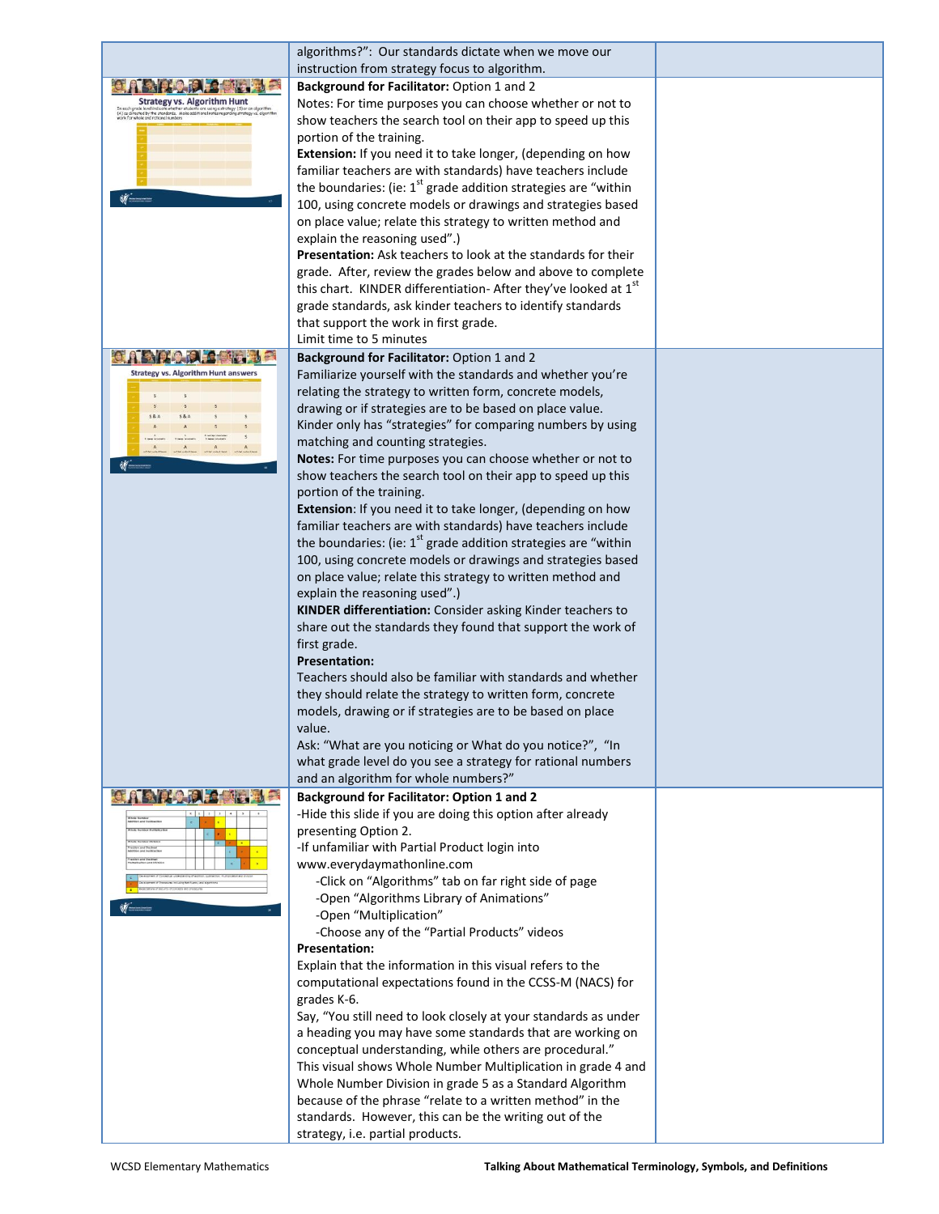|                                                                         | algorithms?": Our standards dictate when we move our                                                                         |  |
|-------------------------------------------------------------------------|------------------------------------------------------------------------------------------------------------------------------|--|
|                                                                         | instruction from strategy focus to algorithm.                                                                                |  |
|                                                                         | Background for Facilitator: Option 1 and 2                                                                                   |  |
| <b>Strategy vs. Algorithm Hunt</b>                                      | Notes: For time purposes you can choose whether or not to                                                                    |  |
| rade level indicate whether student<br>ected by the standards. Make add | show teachers the search tool on their app to speed up this                                                                  |  |
|                                                                         | portion of the training.                                                                                                     |  |
|                                                                         | Extension: If you need it to take longer, (depending on how                                                                  |  |
|                                                                         | familiar teachers are with standards) have teachers include                                                                  |  |
|                                                                         | the boundaries: (ie: $1^{st}$ grade addition strategies are "within                                                          |  |
|                                                                         | 100, using concrete models or drawings and strategies based                                                                  |  |
|                                                                         | on place value; relate this strategy to written method and                                                                   |  |
|                                                                         | explain the reasoning used".)                                                                                                |  |
|                                                                         | <b>Presentation:</b> Ask teachers to look at the standards for their                                                         |  |
|                                                                         | grade. After, review the grades below and above to complete                                                                  |  |
|                                                                         | this chart. KINDER differentiation- After they've looked at 1 <sup>st</sup>                                                  |  |
|                                                                         |                                                                                                                              |  |
|                                                                         | grade standards, ask kinder teachers to identify standards                                                                   |  |
|                                                                         | that support the work in first grade.<br>Limit time to 5 minutes                                                             |  |
|                                                                         |                                                                                                                              |  |
|                                                                         | Background for Facilitator: Option 1 and 2                                                                                   |  |
| <b>Strategy vs. Algorithm Hunt answers</b>                              | Familiarize yourself with the standards and whether you're                                                                   |  |
|                                                                         | relating the strategy to written form, concrete models,                                                                      |  |
|                                                                         | drawing or if strategies are to be based on place value.                                                                     |  |
|                                                                         | Kinder only has "strategies" for comparing numbers by using                                                                  |  |
|                                                                         | matching and counting strategies.                                                                                            |  |
|                                                                         | Notes: For time purposes you can choose whether or not to                                                                    |  |
|                                                                         | show teachers the search tool on their app to speed up this                                                                  |  |
|                                                                         | portion of the training.                                                                                                     |  |
|                                                                         | Extension: If you need it to take longer, (depending on how                                                                  |  |
|                                                                         | familiar teachers are with standards) have teachers include                                                                  |  |
|                                                                         | the boundaries: (ie: $1st$ grade addition strategies are "within                                                             |  |
|                                                                         | 100, using concrete models or drawings and strategies based                                                                  |  |
|                                                                         | on place value; relate this strategy to written method and                                                                   |  |
|                                                                         | explain the reasoning used".)                                                                                                |  |
|                                                                         | KINDER differentiation: Consider asking Kinder teachers to                                                                   |  |
|                                                                         | share out the standards they found that support the work of                                                                  |  |
|                                                                         | first grade.                                                                                                                 |  |
|                                                                         | <b>Presentation:</b>                                                                                                         |  |
|                                                                         | Teachers should also be familiar with standards and whether                                                                  |  |
|                                                                         | they should relate the strategy to written form, concrete                                                                    |  |
|                                                                         | models, drawing or if strategies are to be based on place                                                                    |  |
|                                                                         | value.                                                                                                                       |  |
|                                                                         | Ask: "What are you noticing or What do you notice?", "In                                                                     |  |
|                                                                         | what grade level do you see a strategy for rational numbers                                                                  |  |
|                                                                         | and an algorithm for whole numbers?"                                                                                         |  |
|                                                                         | <b>Background for Facilitator: Option 1 and 2</b>                                                                            |  |
|                                                                         | -Hide this slide if you are doing this option after already                                                                  |  |
|                                                                         | presenting Option 2.                                                                                                         |  |
|                                                                         | -If unfamiliar with Partial Product login into                                                                               |  |
|                                                                         | www.everydaymathonline.com                                                                                                   |  |
|                                                                         | -Click on "Algorithms" tab on far right side of page                                                                         |  |
|                                                                         | -Open "Algorithms Library of Animations"                                                                                     |  |
|                                                                         | -Open "Multiplication"                                                                                                       |  |
|                                                                         | -Choose any of the "Partial Products" videos                                                                                 |  |
|                                                                         | <b>Presentation:</b>                                                                                                         |  |
|                                                                         | Explain that the information in this visual refers to the                                                                    |  |
|                                                                         | computational expectations found in the CCSS-M (NACS) for<br>grades K-6.                                                     |  |
|                                                                         |                                                                                                                              |  |
|                                                                         | Say, "You still need to look closely at your standards as under<br>a heading you may have some standards that are working on |  |
|                                                                         | conceptual understanding, while others are procedural."                                                                      |  |
|                                                                         | This visual shows Whole Number Multiplication in grade 4 and                                                                 |  |
|                                                                         | Whole Number Division in grade 5 as a Standard Algorithm                                                                     |  |
|                                                                         | because of the phrase "relate to a written method" in the                                                                    |  |
|                                                                         | standards. However, this can be the writing out of the                                                                       |  |
|                                                                         | strategy, i.e. partial products.                                                                                             |  |
|                                                                         |                                                                                                                              |  |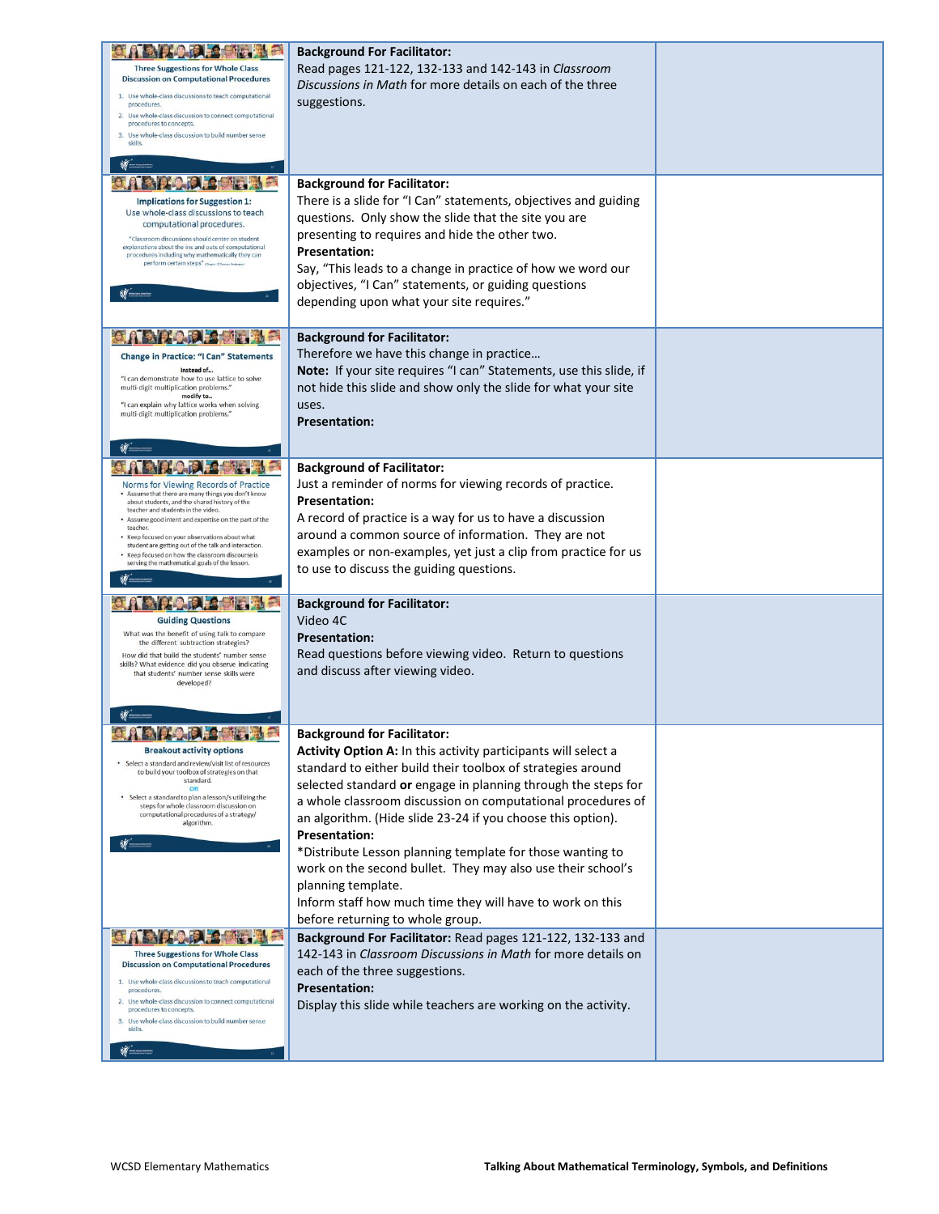|                                                                                                          | <b>Background For Facilitator:</b>                                  |  |
|----------------------------------------------------------------------------------------------------------|---------------------------------------------------------------------|--|
| <b>Three Suggestions for Whole Class</b>                                                                 | Read pages 121-122, 132-133 and 142-143 in Classroom                |  |
| <b>Discussion on Computational Procedures</b>                                                            | Discussions in Math for more details on each of the three           |  |
| 1. Use whole-class discussions to teach computational                                                    |                                                                     |  |
| procedures.<br>2. Use whole-class discussion to connect computational                                    | suggestions.                                                        |  |
| procedures to concepts.                                                                                  |                                                                     |  |
| 3. Use whole-class discussion to build number sense<br>skills.                                           |                                                                     |  |
|                                                                                                          |                                                                     |  |
|                                                                                                          |                                                                     |  |
|                                                                                                          | <b>Background for Facilitator:</b>                                  |  |
| <b>Implications for Suggestion 1:</b>                                                                    | There is a slide for "I Can" statements, objectives and guiding     |  |
| Use whole-class discussions to teach<br>computational procedures.                                        | questions. Only show the slide that the site you are                |  |
| "Classroom discussions should center on student                                                          | presenting to requires and hide the other two.                      |  |
| explanations about the ins and outs of computational<br>procedures including why mathematically they can | <b>Presentation:</b>                                                |  |
| perform certain steps" (Degris O'Corner, Anderso                                                         | Say, "This leads to a change in practice of how we word our         |  |
|                                                                                                          | objectives, "I Can" statements, or guiding questions                |  |
|                                                                                                          | depending upon what your site requires."                            |  |
|                                                                                                          |                                                                     |  |
|                                                                                                          | <b>Background for Facilitator:</b>                                  |  |
|                                                                                                          |                                                                     |  |
| <b>Change in Practice: "I Can" Statements</b><br>Instead of                                              | Therefore we have this change in practice                           |  |
| "I can demonstrate how to use lattice to solve                                                           | Note: If your site requires "I can" Statements, use this slide, if  |  |
| multi-digit multiplication problems."<br>modify to                                                       | not hide this slide and show only the slide for what your site      |  |
| "I can explain why lattice works when solving<br>multi-digit multiplication problems."                   | uses.                                                               |  |
|                                                                                                          | <b>Presentation:</b>                                                |  |
|                                                                                                          |                                                                     |  |
|                                                                                                          |                                                                     |  |
|                                                                                                          | <b>Background of Facilitator:</b>                                   |  |
| Norms for Viewing Records of Practice<br>. Assume that there are many things you don't know              | Just a reminder of norms for viewing records of practice.           |  |
| about students, and the shared history of the<br>teacher and students in the video.                      | <b>Presentation:</b>                                                |  |
| Assume good intent and expertise on the part of the<br>teacher.                                          | A record of practice is a way for us to have a discussion           |  |
| • Keep focused on your observations about what<br>student are getting out of the talk and interaction.   | around a common source of information. They are not                 |  |
| . Keep focused on how the classroom discourse is                                                         | examples or non-examples, yet just a clip from practice for us      |  |
| serving the mathematical goals of the lesson.                                                            | to use to discuss the guiding questions.                            |  |
|                                                                                                          |                                                                     |  |
|                                                                                                          | <b>Background for Facilitator:</b>                                  |  |
| <b>Guiding Questions</b>                                                                                 | Video 4C                                                            |  |
| What was the benefit of using talk to compare                                                            | <b>Presentation:</b>                                                |  |
| the different subtraction strategies?<br>How did that build the students' number sense                   | Read questions before viewing video. Return to questions            |  |
| skills? What evidence did you observe indicating<br>that students' number sense skills were              | and discuss after viewing video.                                    |  |
| developed?                                                                                               |                                                                     |  |
|                                                                                                          |                                                                     |  |
|                                                                                                          |                                                                     |  |
|                                                                                                          | <b>Background for Facilitator:</b>                                  |  |
| <b>Breakout activity options</b>                                                                         | Activity Option A: In this activity participants will select a      |  |
| • Select a standard and review/visit list of resources                                                   | standard to either build their toolbox of strategies around         |  |
| to build your toolbox of strategies on that<br>standard.                                                 | selected standard or engage in planning through the steps for       |  |
| OR<br>• Select a standard to plan a lesson/s utilizing the                                               | a whole classroom discussion on computational procedures of         |  |
| steps for whole classroom discussion on<br>computational procedures of a strategy/                       |                                                                     |  |
| algorithm.                                                                                               | an algorithm. (Hide slide 23-24 if you choose this option).         |  |
|                                                                                                          | <b>Presentation:</b>                                                |  |
|                                                                                                          | *Distribute Lesson planning template for those wanting to           |  |
|                                                                                                          | work on the second bullet. They may also use their school's         |  |
|                                                                                                          | planning template.                                                  |  |
|                                                                                                          | Inform staff how much time they will have to work on this           |  |
|                                                                                                          | before returning to whole group.                                    |  |
|                                                                                                          | Background For Facilitator: Read pages 121-122, 132-133 and         |  |
| <b>Three Suggestions for Whole Class</b>                                                                 | 142-143 in <i>Classroom Discussions in Math</i> for more details on |  |
| <b>Discussion on Computational Procedures</b>                                                            | each of the three suggestions.                                      |  |
| 1. Use whole-class discussions to teach computational<br>procedures                                      | <b>Presentation:</b>                                                |  |
| 2. Use whole-class discussion to connect computational<br>procedures to concepts.                        | Display this slide while teachers are working on the activity.      |  |
| 3. Use whole-class discussion to build number sense                                                      |                                                                     |  |
|                                                                                                          |                                                                     |  |
| skills.                                                                                                  |                                                                     |  |